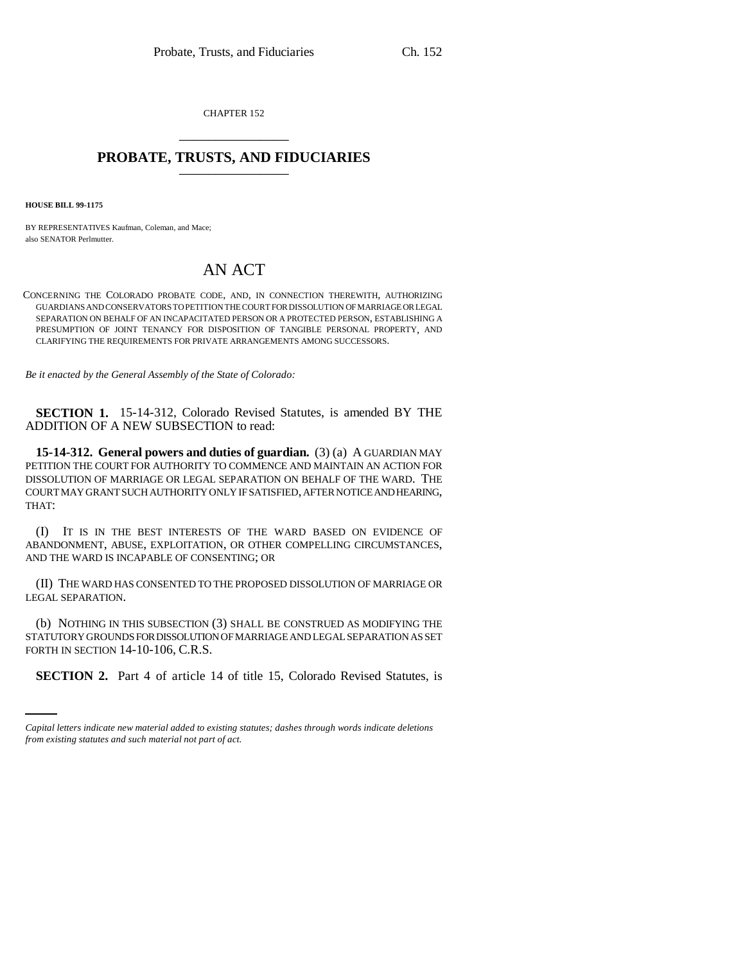CHAPTER 152 \_\_\_\_\_\_\_\_\_\_\_\_\_\_\_

## **PROBATE, TRUSTS, AND FIDUCIARIES** \_\_\_\_\_\_\_\_\_\_\_\_\_\_\_

**HOUSE BILL 99-1175** 

BY REPRESENTATIVES Kaufman, Coleman, and Mace; also SENATOR Perlmutter.

## AN ACT

CONCERNING THE COLORADO PROBATE CODE, AND, IN CONNECTION THEREWITH, AUTHORIZING GUARDIANS AND CONSERVATORS TO PETITION THE COURT FOR DISSOLUTION OF MARRIAGE OR LEGAL SEPARATION ON BEHALF OF AN INCAPACITATED PERSON OR A PROTECTED PERSON, ESTABLISHING A PRESUMPTION OF JOINT TENANCY FOR DISPOSITION OF TANGIBLE PERSONAL PROPERTY, AND CLARIFYING THE REQUIREMENTS FOR PRIVATE ARRANGEMENTS AMONG SUCCESSORS.

*Be it enacted by the General Assembly of the State of Colorado:*

**SECTION 1.** 15-14-312, Colorado Revised Statutes, is amended BY THE ADDITION OF A NEW SUBSECTION to read:

**15-14-312. General powers and duties of guardian.** (3) (a) A GUARDIAN MAY PETITION THE COURT FOR AUTHORITY TO COMMENCE AND MAINTAIN AN ACTION FOR DISSOLUTION OF MARRIAGE OR LEGAL SEPARATION ON BEHALF OF THE WARD. THE COURT MAY GRANT SUCH AUTHORITY ONLY IF SATISFIED, AFTER NOTICE AND HEARING, THAT:

(I) IT IS IN THE BEST INTERESTS OF THE WARD BASED ON EVIDENCE OF ABANDONMENT, ABUSE, EXPLOITATION, OR OTHER COMPELLING CIRCUMSTANCES, AND THE WARD IS INCAPABLE OF CONSENTING; OR

(II) THE WARD HAS CONSENTED TO THE PROPOSED DISSOLUTION OF MARRIAGE OR LEGAL SEPARATION.

FORTH IN SECTION 14-10-106, C.R.S. (b) NOTHING IN THIS SUBSECTION (3) SHALL BE CONSTRUED AS MODIFYING THE STATUTORY GROUNDS FOR DISSOLUTION OF MARRIAGE AND LEGAL SEPARATION AS SET

**SECTION 2.** Part 4 of article 14 of title 15, Colorado Revised Statutes, is

*Capital letters indicate new material added to existing statutes; dashes through words indicate deletions from existing statutes and such material not part of act.*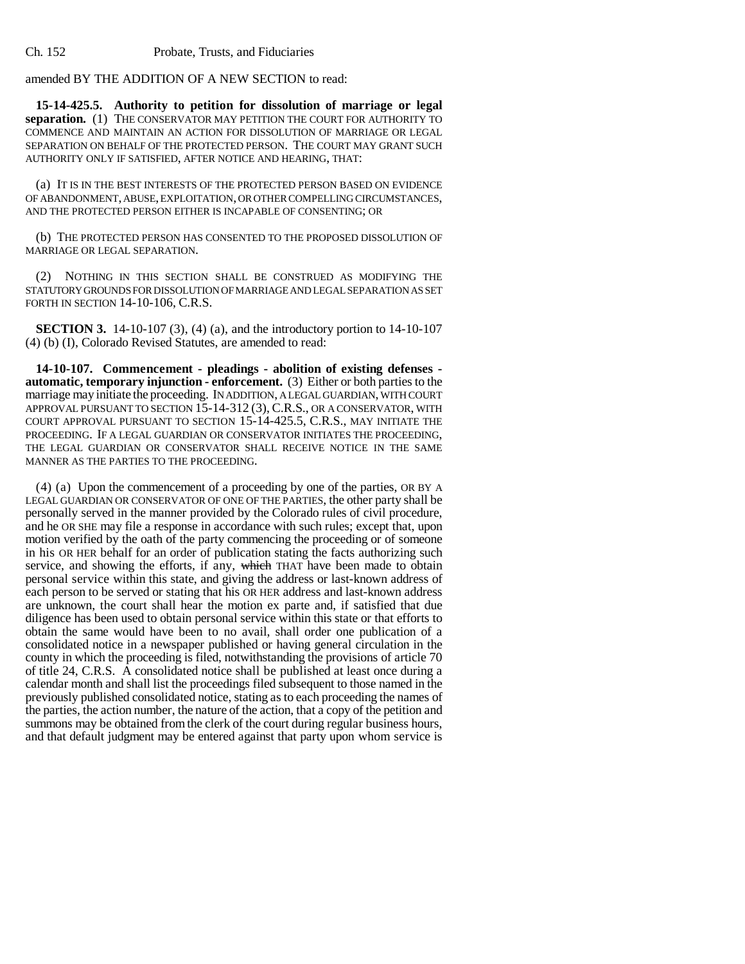amended BY THE ADDITION OF A NEW SECTION to read:

**15-14-425.5. Authority to petition for dissolution of marriage or legal separation.** (1) THE CONSERVATOR MAY PETITION THE COURT FOR AUTHORITY TO COMMENCE AND MAINTAIN AN ACTION FOR DISSOLUTION OF MARRIAGE OR LEGAL SEPARATION ON BEHALF OF THE PROTECTED PERSON. THE COURT MAY GRANT SUCH AUTHORITY ONLY IF SATISFIED, AFTER NOTICE AND HEARING, THAT:

(a) IT IS IN THE BEST INTERESTS OF THE PROTECTED PERSON BASED ON EVIDENCE OF ABANDONMENT, ABUSE, EXPLOITATION, OR OTHER COMPELLING CIRCUMSTANCES, AND THE PROTECTED PERSON EITHER IS INCAPABLE OF CONSENTING; OR

(b) THE PROTECTED PERSON HAS CONSENTED TO THE PROPOSED DISSOLUTION OF MARRIAGE OR LEGAL SEPARATION.

(2) NOTHING IN THIS SECTION SHALL BE CONSTRUED AS MODIFYING THE STATUTORY GROUNDS FOR DISSOLUTION OF MARRIAGE AND LEGAL SEPARATION AS SET FORTH IN SECTION 14-10-106, C.R.S.

**SECTION 3.** 14-10-107 (3), (4) (a), and the introductory portion to 14-10-107 (4) (b) (I), Colorado Revised Statutes, are amended to read:

**14-10-107. Commencement - pleadings - abolition of existing defenses automatic, temporary injunction - enforcement.** (3) Either or both parties to the marriage may initiate the proceeding. IN ADDITION, A LEGAL GUARDIAN, WITH COURT APPROVAL PURSUANT TO SECTION 15-14-312 (3), C.R.S., OR A CONSERVATOR, WITH COURT APPROVAL PURSUANT TO SECTION 15-14-425.5, C.R.S., MAY INITIATE THE PROCEEDING. IF A LEGAL GUARDIAN OR CONSERVATOR INITIATES THE PROCEEDING, THE LEGAL GUARDIAN OR CONSERVATOR SHALL RECEIVE NOTICE IN THE SAME MANNER AS THE PARTIES TO THE PROCEEDING.

(4) (a) Upon the commencement of a proceeding by one of the parties, OR BY A LEGAL GUARDIAN OR CONSERVATOR OF ONE OF THE PARTIES, the other party shall be personally served in the manner provided by the Colorado rules of civil procedure, and he OR SHE may file a response in accordance with such rules; except that, upon motion verified by the oath of the party commencing the proceeding or of someone in his OR HER behalf for an order of publication stating the facts authorizing such service, and showing the efforts, if any, which THAT have been made to obtain personal service within this state, and giving the address or last-known address of each person to be served or stating that his OR HER address and last-known address are unknown, the court shall hear the motion ex parte and, if satisfied that due diligence has been used to obtain personal service within this state or that efforts to obtain the same would have been to no avail, shall order one publication of a consolidated notice in a newspaper published or having general circulation in the county in which the proceeding is filed, notwithstanding the provisions of article 70 of title 24, C.R.S. A consolidated notice shall be published at least once during a calendar month and shall list the proceedings filed subsequent to those named in the previously published consolidated notice, stating as to each proceeding the names of the parties, the action number, the nature of the action, that a copy of the petition and summons may be obtained from the clerk of the court during regular business hours, and that default judgment may be entered against that party upon whom service is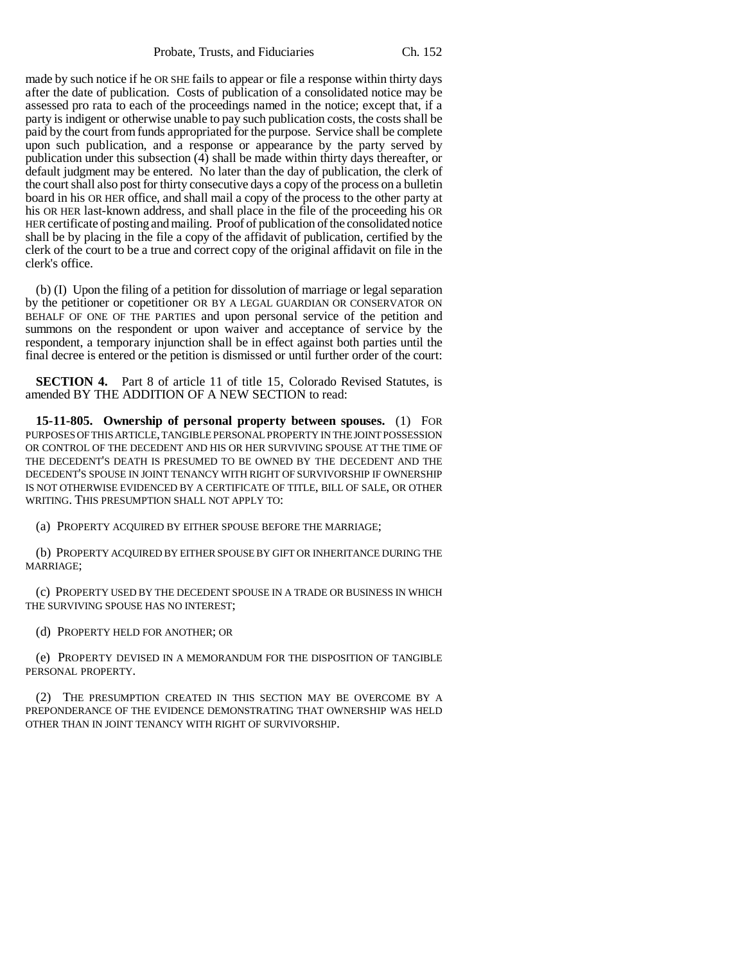Probate, Trusts, and Fiduciaries Ch. 152

made by such notice if he OR SHE fails to appear or file a response within thirty days after the date of publication. Costs of publication of a consolidated notice may be assessed pro rata to each of the proceedings named in the notice; except that, if a party is indigent or otherwise unable to pay such publication costs, the costs shall be paid by the court from funds appropriated for the purpose. Service shall be complete upon such publication, and a response or appearance by the party served by publication under this subsection (4) shall be made within thirty days thereafter, or default judgment may be entered. No later than the day of publication, the clerk of the court shall also post for thirty consecutive days a copy of the process on a bulletin board in his OR HER office, and shall mail a copy of the process to the other party at his OR HER last-known address, and shall place in the file of the proceeding his OR HER certificate of posting and mailing. Proof of publication of the consolidated notice shall be by placing in the file a copy of the affidavit of publication, certified by the clerk of the court to be a true and correct copy of the original affidavit on file in the clerk's office.

(b) (I) Upon the filing of a petition for dissolution of marriage or legal separation by the petitioner or copetitioner OR BY A LEGAL GUARDIAN OR CONSERVATOR ON BEHALF OF ONE OF THE PARTIES and upon personal service of the petition and summons on the respondent or upon waiver and acceptance of service by the respondent, a temporary injunction shall be in effect against both parties until the final decree is entered or the petition is dismissed or until further order of the court:

**SECTION 4.** Part 8 of article 11 of title 15, Colorado Revised Statutes, is amended BY THE ADDITION OF A NEW SECTION to read:

**15-11-805. Ownership of personal property between spouses.** (1) FOR PURPOSES OF THIS ARTICLE, TANGIBLE PERSONAL PROPERTY IN THE JOINT POSSESSION OR CONTROL OF THE DECEDENT AND HIS OR HER SURVIVING SPOUSE AT THE TIME OF THE DECEDENT'S DEATH IS PRESUMED TO BE OWNED BY THE DECEDENT AND THE DECEDENT'S SPOUSE IN JOINT TENANCY WITH RIGHT OF SURVIVORSHIP IF OWNERSHIP IS NOT OTHERWISE EVIDENCED BY A CERTIFICATE OF TITLE, BILL OF SALE, OR OTHER WRITING. THIS PRESUMPTION SHALL NOT APPLY TO:

(a) PROPERTY ACQUIRED BY EITHER SPOUSE BEFORE THE MARRIAGE;

(b) PROPERTY ACQUIRED BY EITHER SPOUSE BY GIFT OR INHERITANCE DURING THE MARRIAGE;

(c) PROPERTY USED BY THE DECEDENT SPOUSE IN A TRADE OR BUSINESS IN WHICH THE SURVIVING SPOUSE HAS NO INTEREST;

(d) PROPERTY HELD FOR ANOTHER; OR

(e) PROPERTY DEVISED IN A MEMORANDUM FOR THE DISPOSITION OF TANGIBLE PERSONAL PROPERTY.

(2) THE PRESUMPTION CREATED IN THIS SECTION MAY BE OVERCOME BY A PREPONDERANCE OF THE EVIDENCE DEMONSTRATING THAT OWNERSHIP WAS HELD OTHER THAN IN JOINT TENANCY WITH RIGHT OF SURVIVORSHIP.